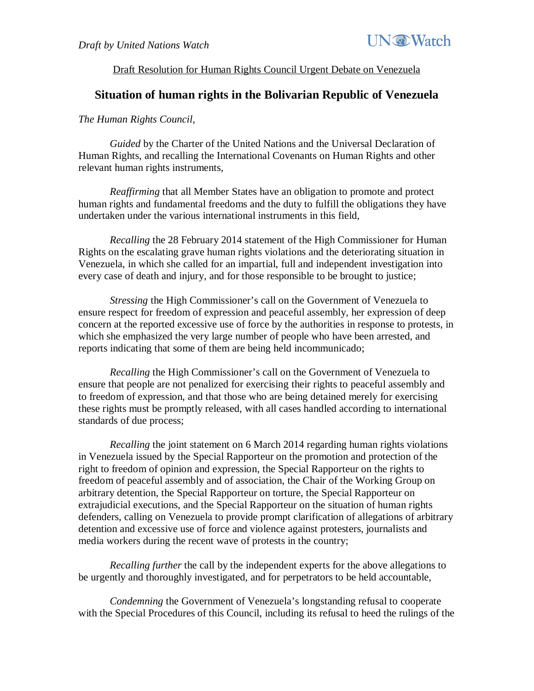

## Draft Resolution for Human Rights Council Urgent Debate on Venezuela

## **Situation of human rights in the Bolivarian Republic of Venezuela**

## *The Human Rights Council,*

*Guided* by the Charter of the United Nations and the Universal Declaration of Human Rights, and recalling the International Covenants on Human Rights and other relevant human rights instruments,

*Reaffirming* that all Member States have an obligation to promote and protect human rights and fundamental freedoms and the duty to fulfill the obligations they have undertaken under the various international instruments in this field,

*Recalling* the 28 February 2014 statement of the High Commissioner for Human Rights on the escalating grave human rights violations and the deteriorating situation in Venezuela, in which she called for an impartial, full and independent investigation into every case of death and injury, and for those responsible to be brought to justice;

*Stressing* the High Commissioner's call on the Government of Venezuela to ensure respect for freedom of expression and peaceful assembly, her expression of deep concern at the reported excessive use of force by the authorities in response to protests, in which she emphasized the very large number of people who have been arrested, and reports indicating that some of them are being held incommunicado;

*Recalling* the High Commissioner's call on the Government of Venezuela to ensure that people are not penalized for exercising their rights to peaceful assembly and to freedom of expression, and that those who are being detained merely for exercising these rights must be promptly released, with all cases handled according to international standards of due process;

*Recalling* the joint statement on 6 March 2014 regarding human rights violations in Venezuela issued by the Special Rapporteur on the promotion and protection of the right to freedom of opinion and expression, the Special Rapporteur on the rights to freedom of peaceful assembly and of association, the Chair of the Working Group on arbitrary detention, the Special Rapporteur on torture, the Special Rapporteur on extrajudicial executions, and the Special Rapporteur on the situation of human rights defenders, calling on Venezuela to provide prompt clarification of allegations of arbitrary detention and excessive use of force and violence against protesters, journalists and media workers during the recent wave of protests in the country;

*Recalling further* the call by the independent experts for the above allegations to be urgently and thoroughly investigated, and for perpetrators to be held accountable,

*Condemning* the Government of Venezuela's longstanding refusal to cooperate with the Special Procedures of this Council, including its refusal to heed the rulings of the